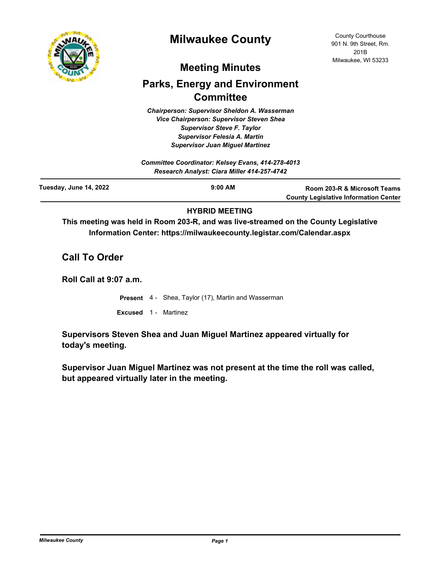

# **Milwaukee County**

## **Meeting Minutes**

# **Parks, Energy and Environment Committee**

*Chairperson: Supervisor Sheldon A. Wasserman Vice Chairperson: Supervisor Steven Shea Supervisor Steve F. Taylor Supervisor Felesia A. Martin Supervisor Juan Miguel Martinez*

| Committee Coordinator: Kelsey Evans, 414-278-4013<br>Research Analyst: Ciara Miller 414-257-4742 |                     |                                                                              |
|--------------------------------------------------------------------------------------------------|---------------------|------------------------------------------------------------------------------|
| Tuesday, June 14, 2022                                                                           | $9:00 \, \text{AM}$ | Room 203-R & Microsoft Teams<br><b>County Legislative Information Center</b> |

### **HYBRID MEETING**

**This meeting was held in Room 203-R, and was live-streamed on the County Legislative Information Center: https://milwaukeecounty.legistar.com/Calendar.aspx**

## **Call To Order**

**Roll Call at 9:07 a.m.**

**Present** 4 - Shea, Taylor (17), Martin and Wasserman

**Excused** 1 - Martinez

**Supervisors Steven Shea and Juan Miguel Martinez appeared virtually for today's meeting.**

**Supervisor Juan Miguel Martinez was not present at the time the roll was called, but appeared virtually later in the meeting.**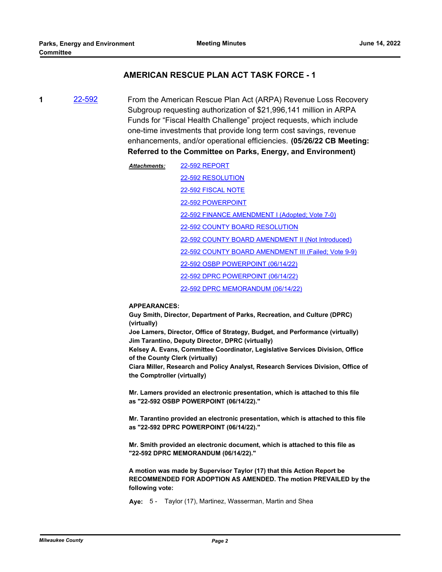### **AMERICAN RESCUE PLAN ACT TASK FORCE - 1**

**1** [22-592](http://milwaukeecounty.legistar.com/gateway.aspx?m=l&id=/matter.aspx?key=12252) From the American Rescue Plan Act (ARPA) Revenue Loss Recovery Subgroup requesting authorization of \$21,996,141 million in ARPA Funds for "Fiscal Health Challenge" project requests, which include one-time investments that provide long term cost savings, revenue enhancements, and/or operational efficiencies. **(05/26/22 CB Meeting: Referred to the Committee on Parks, Energy, and Environment)**

> [22-592 REPORT](http://MilwaukeeCounty.legistar.com/gateway.aspx?M=F&ID=49a9ec05-8b0b-4441-b3a5-34a04f6ac206.dotx) [22-592 RESOLUTION](http://MilwaukeeCounty.legistar.com/gateway.aspx?M=F&ID=a5baeadb-d911-4c46-b296-917e3643f79b.docx) [22-592 FISCAL NOTE](http://MilwaukeeCounty.legistar.com/gateway.aspx?M=F&ID=64a975b8-d018-403c-9974-10d9c532646c.doc) [22-592 POWERPOINT](http://MilwaukeeCounty.legistar.com/gateway.aspx?M=F&ID=fa05683c-5b4a-4b1f-8b55-8d5719ae8270.pdf) [22-592 FINANCE AMENDMENT I \(Adopted; Vote 7-0\)](http://MilwaukeeCounty.legistar.com/gateway.aspx?M=F&ID=b19c82ef-d225-464c-8ed1-5d00b4ea4674.docx) [22-592 COUNTY BOARD RESOLUTION](http://MilwaukeeCounty.legistar.com/gateway.aspx?M=F&ID=6692412a-7606-4785-8b72-4e149d8a3dd4.pdf) [22-592 COUNTY BOARD AMENDMENT II \(Not Introduced\)](http://MilwaukeeCounty.legistar.com/gateway.aspx?M=F&ID=6745b24c-f65e-4edd-8354-322a05bf4f7d.docx) [22-592 COUNTY BOARD AMENDMENT III \(Failed; Vote 9-9\)](http://MilwaukeeCounty.legistar.com/gateway.aspx?M=F&ID=822dbc06-71ff-4403-9baf-e00c8019eeb4.docx) [22-592 OSBP POWERPOINT \(06/14/22\)](http://MilwaukeeCounty.legistar.com/gateway.aspx?M=F&ID=9c937dae-af3e-4380-8643-7684a16a1ab2.pptx) [22-592 DPRC POWERPOINT \(06/14/22\)](http://MilwaukeeCounty.legistar.com/gateway.aspx?M=F&ID=73525335-2ddb-44c7-993f-d4437b6c27b2.pptx) [22-592 DPRC MEMORANDUM \(06/14/22\)](http://MilwaukeeCounty.legistar.com/gateway.aspx?M=F&ID=337263fd-da95-44b5-abb9-7aef68b09b45.pdf) *Attachments:*

#### **APPEARANCES:**

**Guy Smith, Director, Department of Parks, Recreation, and Culture (DPRC) (virtually)**

**Joe Lamers, Director, Office of Strategy, Budget, and Performance (virtually) Jim Tarantino, Deputy Director, DPRC (virtually)**

**Kelsey A. Evans, Committee Coordinator, Legislative Services Division, Office of the County Clerk (virtually)**

**Ciara Miller, Research and Policy Analyst, Research Services Division, Office of the Comptroller (virtually)**

**Mr. Lamers provided an electronic presentation, which is attached to this file as "22-592 OSBP POWERPOINT (06/14/22)."**

**Mr. Tarantino provided an electronic presentation, which is attached to this file as "22-592 DPRC POWERPOINT (06/14/22)."**

**Mr. Smith provided an electronic document, which is attached to this file as "22-592 DPRC MEMORANDUM (06/14/22)."**

**A motion was made by Supervisor Taylor (17) that this Action Report be RECOMMENDED FOR ADOPTION AS AMENDED. The motion PREVAILED by the following vote:**

**Aye:** 5 - Taylor (17), Martinez, Wasserman, Martin and Shea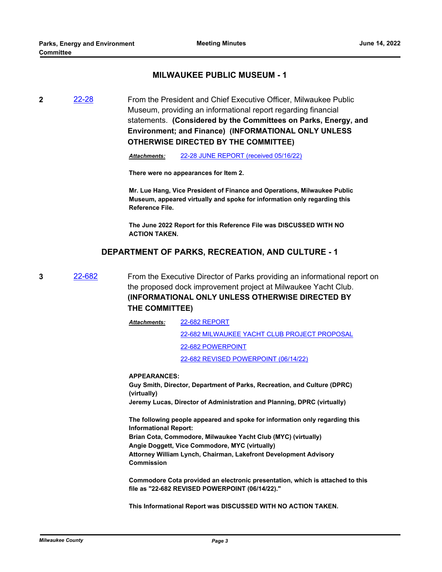### **MILWAUKEE PUBLIC MUSEUM - 1**

**2** [22-28](http://milwaukeecounty.legistar.com/gateway.aspx?m=l&id=/matter.aspx?key=11850) From the President and Chief Executive Officer, Milwaukee Public Museum, providing an informational report regarding financial statements. **(Considered by the Committees on Parks, Energy, and Environment; and Finance) (INFORMATIONAL ONLY UNLESS OTHERWISE DIRECTED BY THE COMMITTEE)**

*Attachments:* [22-28 JUNE REPORT \(received 05/16/22\)](http://MilwaukeeCounty.legistar.com/gateway.aspx?M=F&ID=c6c114ee-2407-4e19-b5b1-a0e1852eca97.pdf)

**There were no appearances for Item 2.**

**Mr. Lue Hang, Vice President of Finance and Operations, Milwaukee Public Museum, appeared virtually and spoke for information only regarding this Reference File.**

**The June 2022 Report for this Reference File was DISCUSSED WITH NO ACTION TAKEN.**

### **DEPARTMENT OF PARKS, RECREATION, AND CULTURE - 1**

**3** [22-682](http://milwaukeecounty.legistar.com/gateway.aspx?m=l&id=/matter.aspx?key=12380) From the Executive Director of Parks providing an informational report on the proposed dock improvement project at Milwaukee Yacht Club. **(INFORMATIONAL ONLY UNLESS OTHERWISE DIRECTED BY THE COMMITTEE)**

> [22-682 REPORT](http://MilwaukeeCounty.legistar.com/gateway.aspx?M=F&ID=74bc6690-d65a-4032-8ae4-67e1044d0669.pdf) [22-682 MILWAUKEE YACHT CLUB PROJECT PROPOSAL](http://MilwaukeeCounty.legistar.com/gateway.aspx?M=F&ID=401e3ceb-6d1c-466a-aa9f-07647c588d0b.pdf) [22-682 POWERPOINT](http://MilwaukeeCounty.legistar.com/gateway.aspx?M=F&ID=b271c349-e96f-43ff-b760-31562a2ae55d.pdf) [22-682 REVISED POWERPOINT \(06/14/22\)](http://MilwaukeeCounty.legistar.com/gateway.aspx?M=F&ID=b3908e5a-87b3-455a-9253-2b897a9927ad.pdf) *Attachments:*

#### **APPEARANCES:**

**Guy Smith, Director, Department of Parks, Recreation, and Culture (DPRC) (virtually) Jeremy Lucas, Director of Administration and Planning, DPRC (virtually)**

**The following people appeared and spoke for information only regarding this Informational Report: Brian Cota, Commodore, Milwaukee Yacht Club (MYC) (virtually) Angie Doggett, Vice Commodore, MYC (virtually) Attorney William Lynch, Chairman, Lakefront Development Advisory Commission**

**Commodore Cota provided an electronic presentation, which is attached to this file as "22-682 REVISED POWERPOINT (06/14/22)."**

**This Informational Report was DISCUSSED WITH NO ACTION TAKEN.**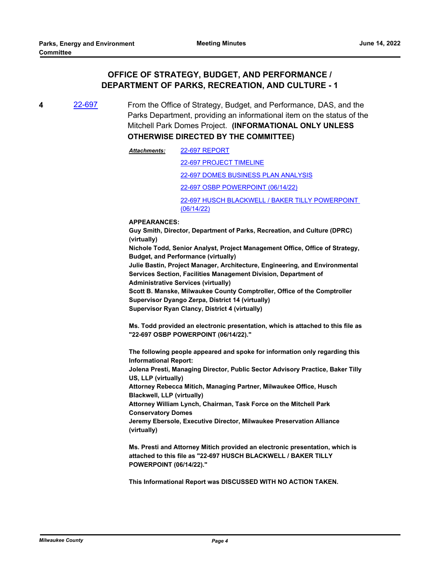## **OFFICE OF STRATEGY, BUDGET, AND PERFORMANCE / DEPARTMENT OF PARKS, RECREATION, AND CULTURE - 1**

**4** [22-697](http://milwaukeecounty.legistar.com/gateway.aspx?m=l&id=/matter.aspx?key=12396) From the Office of Strategy, Budget, and Performance, DAS, and the Parks Department, providing an informational item on the status of the Mitchell Park Domes Project. **(INFORMATIONAL ONLY UNLESS OTHERWISE DIRECTED BY THE COMMITTEE)**

> [22-697 REPORT](http://MilwaukeeCounty.legistar.com/gateway.aspx?M=F&ID=43d51882-dd25-415e-a24e-0e9091420706.docx) *Attachments:*

> > [22-697 PROJECT TIMELINE](http://MilwaukeeCounty.legistar.com/gateway.aspx?M=F&ID=bf05d4b2-a51c-4ab7-bb72-db2819b4bdd4.docx)

[22-697 DOMES BUSINESS PLAN ANALYSIS](http://MilwaukeeCounty.legistar.com/gateway.aspx?M=F&ID=670c4963-1908-47a3-aa4a-66891302b676.pdf)

[22-697 OSBP POWERPOINT \(06/14/22\)](http://MilwaukeeCounty.legistar.com/gateway.aspx?M=F&ID=2e8a1ae4-6398-4345-a4a8-43e7134381b1.pdf)

[22-697 HUSCH BLACKWELL / BAKER TILLY POWERPOINT](http://MilwaukeeCounty.legistar.com/gateway.aspx?M=F&ID=b817700c-46aa-4830-b047-c2dae0993c01.pdf)  (06/14/22)

**APPEARANCES:**

**Guy Smith, Director, Department of Parks, Recreation, and Culture (DPRC) (virtually) Nichole Todd, Senior Analyst, Project Management Office, Office of Strategy, Budget, and Performance (virtually)**

**Julie Bastin, Project Manager, Architecture, Engineering, and Environmental Services Section, Facilities Management Division, Department of** 

**Administrative Services (virtually)**

**Scott B. Manske, Milwaukee County Comptroller, Office of the Comptroller Supervisor Dyango Zerpa, District 14 (virtually)**

**Supervisor Ryan Clancy, District 4 (virtually)**

**Ms. Todd provided an electronic presentation, which is attached to this file as "22-697 OSBP POWERPOINT (06/14/22)."**

**The following people appeared and spoke for information only regarding this Informational Report:**

**Jolena Presti, Managing Director, Public Sector Advisory Practice, Baker Tilly US, LLP (virtually)**

**Attorney Rebecca Mitich, Managing Partner, Milwaukee Office, Husch Blackwell, LLP (virtually)**

**Attorney William Lynch, Chairman, Task Force on the Mitchell Park Conservatory Domes**

**Jeremy Ebersole, Executive Director, Milwaukee Preservation Alliance (virtually)**

**Ms. Presti and Attorney Mitich provided an electronic presentation, which is attached to this file as "22-697 HUSCH BLACKWELL / BAKER TILLY POWERPOINT (06/14/22)."**

**This Informational Report was DISCUSSED WITH NO ACTION TAKEN.**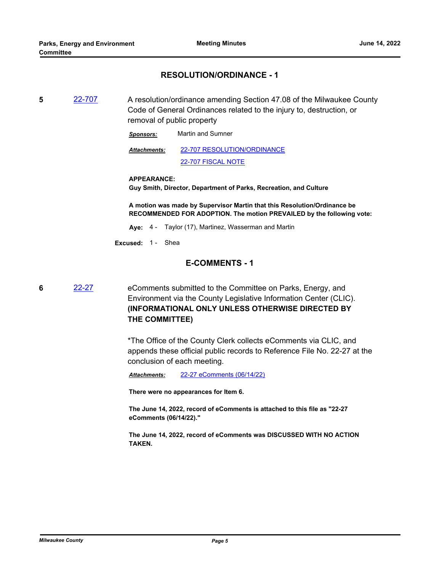#### **RESOLUTION/ORDINANCE - 1**

**5** [22-707](http://milwaukeecounty.legistar.com/gateway.aspx?m=l&id=/matter.aspx?key=12406) A resolution/ordinance amending Section 47.08 of the Milwaukee County Code of General Ordinances related to the injury to, destruction, or removal of public property

*Sponsors:* Martin and Sumner

[22-707 RESOLUTION/ORDINANCE](http://MilwaukeeCounty.legistar.com/gateway.aspx?M=F&ID=a521126b-34c8-491f-8057-1a9e19adb714.docx) [22-707 FISCAL NOTE](http://MilwaukeeCounty.legistar.com/gateway.aspx?M=F&ID=985b8ce1-0b60-4ee6-809b-8f0aecaec8f0.pdf) *Attachments:*

#### **APPEARANCE:**

**Guy Smith, Director, Department of Parks, Recreation, and Culture**

**A motion was made by Supervisor Martin that this Resolution/Ordinance be RECOMMENDED FOR ADOPTION. The motion PREVAILED by the following vote:**

- **Aye:** 4 Taylor (17), Martinez, Wasserman and Martin
- **Excused:** 1 Shea

#### **E-COMMENTS - 1**

**6** [22-27](http://milwaukeecounty.legistar.com/gateway.aspx?m=l&id=/matter.aspx?key=11849) eComments submitted to the Committee on Parks, Energy, and Environment via the County Legislative Information Center (CLIC). **(INFORMATIONAL ONLY UNLESS OTHERWISE DIRECTED BY THE COMMITTEE)**

> \*The Office of the County Clerk collects eComments via CLIC, and appends these official public records to Reference File No. 22-27 at the conclusion of each meeting.

*Attachments:* [22-27 eComments \(06/14/22\)](http://MilwaukeeCounty.legistar.com/gateway.aspx?M=F&ID=7c98e363-511e-4e98-b6d5-e4de5889f2ae.pdf)

**There were no appearances for Item 6.**

**The June 14, 2022, record of eComments is attached to this file as "22-27 eComments (06/14/22)."**

**The June 14, 2022, record of eComments was DISCUSSED WITH NO ACTION TAKEN.**